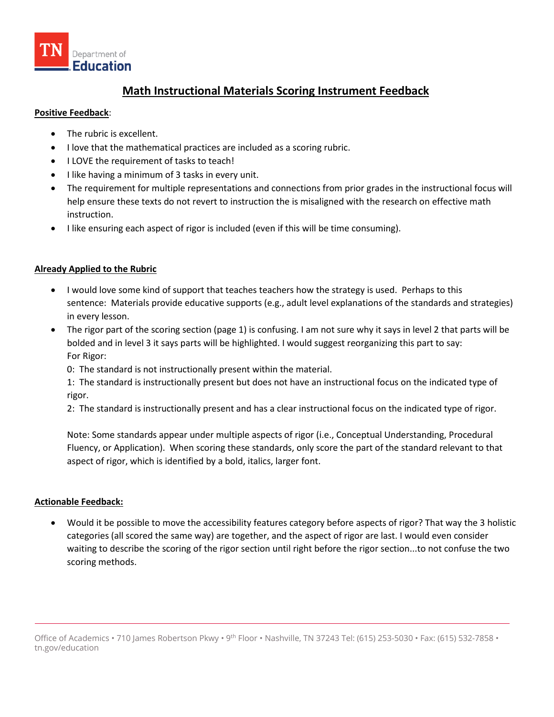

# **Math Instructional Materials Scoring Instrument Feedback**

#### **Positive Feedback**:

- The rubric is excellent.
- I love that the mathematical practices are included as a scoring rubric.
- I LOVE the requirement of tasks to teach!
- I like having a minimum of 3 tasks in every unit.
- The requirement for multiple representations and connections from prior grades in the instructional focus will help ensure these texts do not revert to instruction the is misaligned with the research on effective math instruction.
- I like ensuring each aspect of rigor is included (even if this will be time consuming).

## **Already Applied to the Rubric**

- I would love some kind of support that teaches teachers how the strategy is used. Perhaps to this sentence: Materials provide educative supports (e.g., adult level explanations of the standards and strategies) in every lesson.
- The rigor part of the scoring section (page 1) is confusing. I am not sure why it says in level 2 that parts will be bolded and in level 3 it says parts will be highlighted. I would suggest reorganizing this part to say: For Rigor:
	- 0: The standard is not instructionally present within the material.

1: The standard is instructionally present but does not have an instructional focus on the indicated type of rigor.

2: The standard is instructionally present and has a clear instructional focus on the indicated type of rigor.

Note: Some standards appear under multiple aspects of rigor (i.e., Conceptual Understanding, Procedural Fluency, or Application). When scoring these standards, only score the part of the standard relevant to that aspect of rigor, which is identified by a bold, italics, larger font.

## **Actionable Feedback:**

• Would it be possible to move the accessibility features category before aspects of rigor? That way the 3 holistic categories (all scored the same way) are together, and the aspect of rigor are last. I would even consider waiting to describe the scoring of the rigor section until right before the rigor section...to not confuse the two scoring methods.